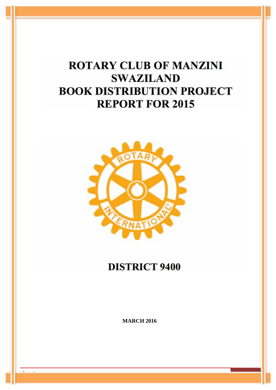# **ROTARY CLUB OF MANZINI SWAZILAND BOOK DISTRIBUTION PROJECT REPORT FOR 2015**



# **DISTRICT 9400**

**MARCH 2016** 

Page 1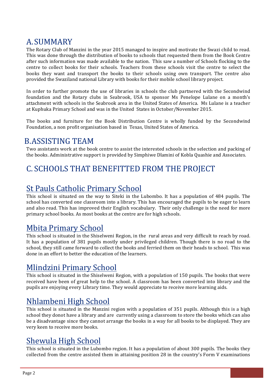## A. SUMMARY

The Rotary Club of Manzini in the year 2015 managed to inspire and motivate the Swazi child to read. This was done through the distribution of books to schools that requested them from the Book Centre after such information was made available to the nation. This saw a number of Schools flocking to the centre to collect books for their schools. Teachers from these schools visit the centre to select the books they want and transport the books to their schools using own transport. The centre also provided the Swaziland national Library with books for their mobile school library project.

In order to further promote the use of libraries in schools the club partnered with the Secondwind foundation and the Rotary clubs in Seabrook, USA to sponsor Ms Penelope Lulane on a month's attachment with schools in the Seabrook area in the United States of America. Ms Lulane is a teacher at Kuphuka Primary School and was in the United States in October/November 2015.

The books and furniture for the Book Distribution Centre is wholly funded by the Secondwind Foundation, a non profit organisation based in Texas, United States of America.

#### **B.ASSISTING TEAM**

Two assistants work at the book centre to assist the interested schools in the selection and packing of the books. Administrative support is provided by Simphiwe Dlamini of Kobla Quashie and Associates.

## C. SCHOOLS THAT BENEFITTED FROM THE PROJECT

## **St Pauls Catholic Primary School**

This school is situated on the way to Siteki in the Lubombo. It has a population of 484 pupils. The school has converted one classroom into a library. This has encouraged the pupils to be eager to learn and also read. This has improved their English vocabulary. Their only challenge is the need for more primary school books. As most books at the centre are for high schools.

#### **Mbita Primary School**

This school is situated in the Shiselweni Region, in the rural areas and very difficult to reach by road. It has a population of 381 pupils mostly under privileged children. Though there is no road to the school, they still came forward to collect the books and ferried them on their heads to school. This was done in an effort to better the education of the learners.

#### Mlindzini Primary School

This school is situated in the Shiselweni Region, with a population of 150 pupils. The books that were received have been of great help to the school. A classroom has been converted into library and the pupils are enjoying every Library time. They would appreciate to receive more learning aids.

## Nhlambeni High School

This school is situated in the Manzini region with a population of 351 pupils. Although this is a high school they donot have a library and are currently using a classroom to store the books which can also be a disadvantage since they cannot arrange the books in a way for all books to be displayed. They are very keen to receive more books.

#### **Shewula High School**

This school is situated in the Lubombo region. It has a population of about 300 pupils. The books they collected from the centre assisted them in attaining position 28 in the country's Form V examinations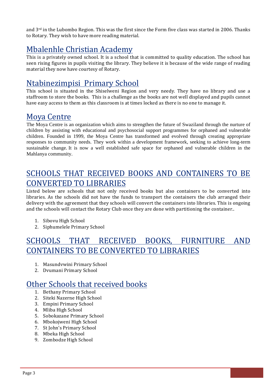and  $3<sup>rd</sup>$  in the Lubombo Region. This was the first since the Form five class was started in 2006. Thanks to Rotary. They wish to have more reading material.

## Mbalenhle Christian Academy

This is a privately owned school. It is a school that is committed to quality education. The school has seen rising figures in pupils visiting the library. They believe it is because of the wide range of reading material they now have courtesy of Rotary.

## Ntabinezimpisi Primary School

This school is situated in the Shiselweni Region and very needy. They have no library and use a staffroom to store the books. This is a challenge as the books are not well displayed and pupils cannot have easy access to them as this classroom is at times locked as there is no one to manage it.

#### **Mova Centre**

The Mova Centre is an organization which aims to strengthen the future of Swaziland through the nurture of children by assisting with educational and psychosocial support programmes for orphaned and vulnerable children. Founded in 1999, the Mova Centre has transformed and evolved through creating appropriate responses to community needs. They work within a development framework, seeking to achieve long-term sustainable change. It is now a well established safe space for orphaned and vulnerable children in the Mahlanya community.

## SCHOOLS THAT RECEIVED BOOKS AND CONTAINERS TO BE **CONVERTED TO LIBRARIES**

Listed below are schools that not only received books but also containers to be converted into libraries. As the schools did not have the funds to transport the containers the club arranged their delivery with the agreement that they schools will convert the containers into libraries. This is ongoing and the schools will contact the Rotary Club once they are done with partitioning the container...

- 1. Sibovu High School
- 2. Siphumelele Primary School

## SCHOOLS THAT RECEIVED BOOKS, FURNITURE AND **CONTAINERS TO BE CONVERTED TO LIBRARIES**

- 1. Masundvwini Primary School
- 2. Dvumani Primary School

#### Other Schools that received books

- 1. Bethany Primary School
- 2. Siteki Nazerne High School
- 3. Empini Primary School
- 4. Mliba High School
- 5. Sobokazane Primary School
- 6. Mbokojweni High School
- 7. St John's Primary School
- 8. Mbeka High School
- 9. Zombodze High School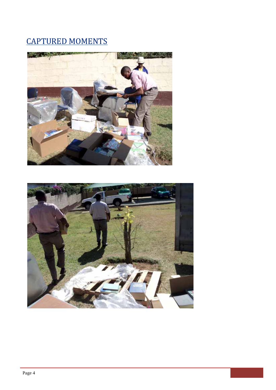# **CAPTURED MOMENTS**